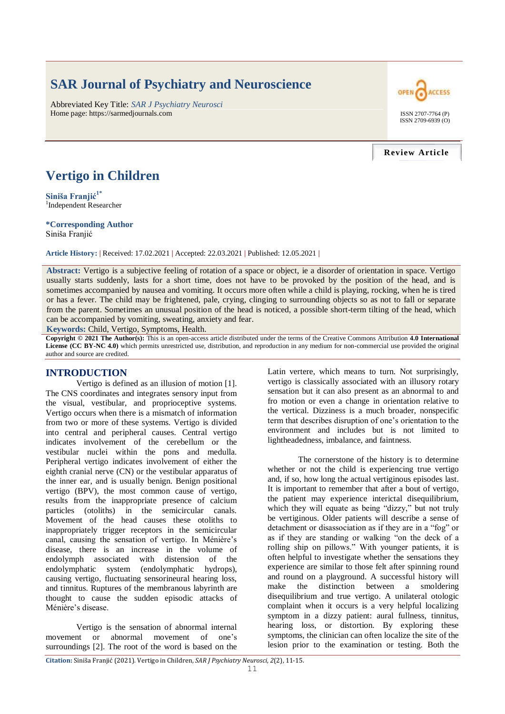# **SAR Journal of Psychiatry and Neuroscience**

Abbreviated Key Title: *SAR J Psychiatry Neurosci* Home page: https://sarmedjournals.com ISSN 2707-7764 (P)



**Review Article**

## **Vertigo in Children**

**Siniša Franjić1\*** 1 Independent Researcher

**\*Corresponding Author** Siniša Franjić

**Article History: |** Received: 17.02.2021 **|** Accepted: 22.03.2021 **|** Published: 12.05.2021 **|**

**Abstract:** Vertigo is a subjective feeling of rotation of a space or object, ie a disorder of orientation in space. Vertigo usually starts suddenly, lasts for a short time, does not have to be provoked by the position of the head, and is sometimes accompanied by nausea and vomiting. It occurs more often while a child is playing, rocking, when he is tired or has a fever. The child may be frightened, pale, crying, clinging to surrounding objects so as not to fall or separate from the parent. Sometimes an unusual position of the head is noticed, a possible short-term tilting of the head, which can be accompanied by vomiting, sweating, anxiety and fear.

**Keywords:** Child, Vertigo, Symptoms, Health.

**Copyright © 2021 The Author(s):** This is an open-access article distributed under the terms of the Creative Commons Attribution **4.0 International**  License (CC BY-NC 4.0) which permits unrestricted use, distribution, and reproduction in any medium for non-commercial use provided the original author and source are credited.

#### **INTRODUCTION**

Vertigo is defined as an illusion of motion [1]. The CNS coordinates and integrates sensory input from the visual, vestibular, and proprioceptive systems. Vertigo occurs when there is a mismatch of information from two or more of these systems. Vertigo is divided into central and peripheral causes. Central vertigo indicates involvement of the cerebellum or the vestibular nuclei within the pons and medulla. Peripheral vertigo indicates involvement of either the eighth cranial nerve (CN) or the vestibular apparatus of the inner ear, and is usually benign. Benign positional vertigo (BPV), the most common cause of vertigo, results from the inappropriate presence of calcium particles (otoliths) in the semicircular canals. Movement of the head causes these otoliths to inappropriately trigger receptors in the semicircular canal, causing the sensation of vertigo. In Ménière's disease, there is an increase in the volume of endolymph associated with distension of the endolymphatic system (endolymphatic hydrops), causing vertigo, fluctuating sensorineural hearing loss, and tinnitus. Ruptures of the membranous labyrinth are thought to cause the sudden episodic attacks of Ménière's disease.

Vertigo is the sensation of abnormal internal movement or abnormal movement of one's surroundings [2]. The root of the word is based on the

Latin vertere, which means to turn. Not surprisingly, vertigo is classically associated with an illusory rotary sensation but it can also present as an abnormal to and fro motion or even a change in orientation relative to the vertical. Dizziness is a much broader, nonspecific term that describes disruption of one's orientation to the environment and includes but is not limited to lightheadedness, imbalance, and faintness.

The cornerstone of the history is to determine whether or not the child is experiencing true vertigo and, if so, how long the actual vertiginous episodes last. It is important to remember that after a bout of vertigo, the patient may experience interictal disequilibrium, which they will equate as being "dizzy," but not truly be vertiginous. Older patients will describe a sense of detachment or disassociation as if they are in a "fog" or as if they are standing or walking "on the deck of a rolling ship on pillows." With younger patients, it is often helpful to investigate whether the sensations they experience are similar to those felt after spinning round and round on a playground. A successful history will make the distinction between a smoldering disequilibrium and true vertigo. A unilateral otologic complaint when it occurs is a very helpful localizing symptom in a dizzy patient: aural fullness, tinnitus, hearing loss, or distortion. By exploring these symptoms, the clinician can often localize the site of the lesion prior to the examination or testing. Both the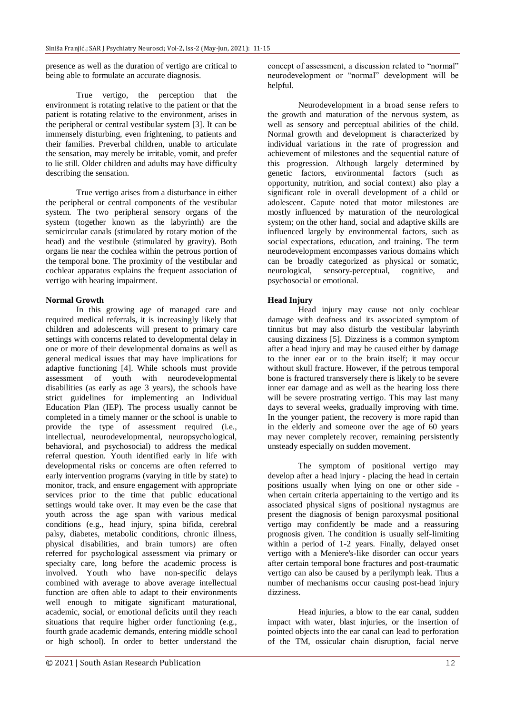presence as well as the duration of vertigo are critical to being able to formulate an accurate diagnosis.

True vertigo, the perception that the environment is rotating relative to the patient or that the patient is rotating relative to the environment, arises in the peripheral or central vestibular system [3]. It can be immensely disturbing, even frightening, to patients and their families. Preverbal children, unable to articulate the sensation, may merely be irritable, vomit, and prefer to lie still. Older children and adults may have difficulty describing the sensation.

True vertigo arises from a disturbance in either the peripheral or central components of the vestibular system. The two peripheral sensory organs of the system (together known as the labyrinth) are the semicircular canals (stimulated by rotary motion of the head) and the vestibule (stimulated by gravity). Both organs lie near the cochlea within the petrous portion of the temporal bone. The proximity of the vestibular and cochlear apparatus explains the frequent association of vertigo with hearing impairment.

#### **Normal Growth**

In this growing age of managed care and required medical referrals, it is increasingly likely that children and adolescents will present to primary care settings with concerns related to developmental delay in one or more of their developmental domains as well as general medical issues that may have implications for adaptive functioning [4]. While schools must provide assessment of youth with neurodevelopmental disabilities (as early as age 3 years), the schools have strict guidelines for implementing an Individual Education Plan (IEP). The process usually cannot be completed in a timely manner or the school is unable to provide the type of assessment required (i.e., intellectual, neurodevelopmental, neuropsychological, behavioral, and psychosocial) to address the medical referral question. Youth identified early in life with developmental risks or concerns are often referred to early intervention programs (varying in title by state) to monitor, track, and ensure engagement with appropriate services prior to the time that public educational settings would take over. It may even be the case that youth across the age span with various medical conditions (e.g., head injury, spina bifida, cerebral palsy, diabetes, metabolic conditions, chronic illness, physical disabilities, and brain tumors) are often referred for psychological assessment via primary or specialty care, long before the academic process is involved. Youth who have non-specific delays combined with average to above average intellectual function are often able to adapt to their environments well enough to mitigate significant maturational, academic, social, or emotional deficits until they reach situations that require higher order functioning (e.g., fourth grade academic demands, entering middle school or high school). In order to better understand the

concept of assessment, a discussion related to "normal" neurodevelopment or "normal" development will be helpful.

Neurodevelopment in a broad sense refers to the growth and maturation of the nervous system, as well as sensory and perceptual abilities of the child. Normal growth and development is characterized by individual variations in the rate of progression and achievement of milestones and the sequential nature of this progression. Although largely determined by genetic factors, environmental factors (such as opportunity, nutrition, and social context) also play a significant role in overall development of a child or adolescent. Capute noted that motor milestones are mostly influenced by maturation of the neurological system; on the other hand, social and adaptive skills are influenced largely by environmental factors, such as social expectations, education, and training. The term neurodevelopment encompasses various domains which can be broadly categorized as physical or somatic, neurological, sensory-perceptual, cognitive, and psychosocial or emotional.

#### **Head Injury**

Head injury may cause not only cochlear damage with deafness and its associated symptom of tinnitus but may also disturb the vestibular labyrinth causing dizziness [5]. Dizziness is a common symptom after a head injury and may be caused either by damage to the inner ear or to the brain itself; it may occur without skull fracture. However, if the petrous temporal bone is fractured transversely there is likely to be severe inner ear damage and as well as the hearing loss there will be severe prostrating vertigo. This may last many days to several weeks, gradually improving with time. In the younger patient, the recovery is more rapid than in the elderly and someone over the age of 60 years may never completely recover, remaining persistently unsteady especially on sudden movement.

The symptom of positional vertigo may develop after a head injury - placing the head in certain positions usually when lying on one or other side when certain criteria appertaining to the vertigo and its associated physical signs of positional nystagmus are present the diagnosis of benign paroxysmal positional vertigo may confidently be made and a reassuring prognosis given. The condition is usually self-limiting within a period of 1-2 years. Finally, delayed onset vertigo with a Meniere's-like disorder can occur years after certain temporal bone fractures and post-traumatic vertigo can also be caused by a perilymph leak. Thus a number of mechanisms occur causing post-head injury dizziness.

Head injuries, a blow to the ear canal, sudden impact with water, blast injuries, or the insertion of pointed objects into the ear canal can lead to perforation of the TM, ossicular chain disruption, facial nerve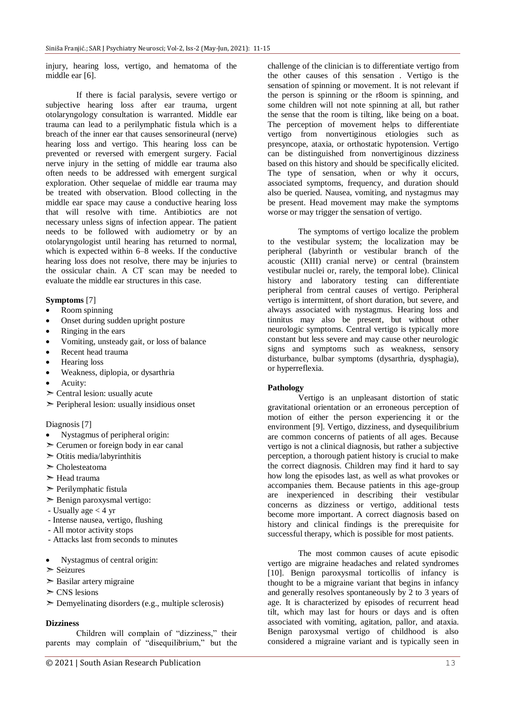injury, hearing loss, vertigo, and hematoma of the middle ear [6].

If there is facial paralysis, severe vertigo or subjective hearing loss after ear trauma, urgent otolaryngology consultation is warranted. Middle ear trauma can lead to a perilymphatic fistula which is a breach of the inner ear that causes sensorineural (nerve) hearing loss and vertigo. This hearing loss can be prevented or reversed with emergent surgery. Facial nerve injury in the setting of middle ear trauma also often needs to be addressed with emergent surgical exploration. Other sequelae of middle ear trauma may be treated with observation. Blood collecting in the middle ear space may cause a conductive hearing loss that will resolve with time. Antibiotics are not necessary unless signs of infection appear. The patient needs to be followed with audiometry or by an otolaryngologist until hearing has returned to normal, which is expected within 6–8 weeks. If the conductive hearing loss does not resolve, there may be injuries to the ossicular chain. A CT scan may be needed to evaluate the middle ear structures in this case.

#### **Symptoms** [7]

- Room spinning
- Onset during sudden upright posture
- Ringing in the ears
- Vomiting, unsteady gait, or loss of balance
- Recent head trauma
- Hearing loss
- Weakness, diplopia, or dysarthria
- Acuity:
- $\triangleright$  Central lesion: usually acute
- ➣ Peripheral lesion: usually insidious onset

Diagnosis [7]

- Nystagmus of peripheral origin:
- ➣ Cerumen or foreign body in ear canal
- $\geq$  Otitis media/labyrinthitis
- ➣ Cholesteatoma
- ➣ Head trauma
- $\triangleright$  Perilymphatic fistula
- $\geq$  Benign paroxysmal vertigo:
- Usually age < 4 yr
- Intense nausea, vertigo, flushing
- All motor activity stops
- Attacks last from seconds to minutes
- Nystagmus of central origin:
- ➣ Seizures
- $>$  Basilar artery migraine
- $\geq$  CNS lesions
- $\geq$  Demyelinating disorders (e.g., multiple sclerosis)

#### **Dizziness**

Children will complain of "dizziness," their parents may complain of "disequilibrium," but the

challenge of the clinician is to differentiate vertigo from the other causes of this sensation . Vertigo is the sensation of spinning or movement. It is not relevant if the person is spinning or the r8oom is spinning, and some children will not note spinning at all, but rather the sense that the room is tilting, like being on a boat. The perception of movement helps to differentiate vertigo from nonvertiginous etiologies such as presyncope, ataxia, or orthostatic hypotension. Vertigo can be distinguished from nonvertiginous dizziness based on this history and should be specifically elicited. The type of sensation, when or why it occurs, associated symptoms, frequency, and duration should also be queried. Nausea, vomiting, and nystagmus may be present. Head movement may make the symptoms worse or may trigger the sensation of vertigo.

The symptoms of vertigo localize the problem to the vestibular system; the localization may be peripheral (labyrinth or vestibular branch of the acoustic (XIII) cranial nerve) or central (brainstem vestibular nuclei or, rarely, the temporal lobe). Clinical history and laboratory testing can differentiate peripheral from central causes of vertigo. Peripheral vertigo is intermittent, of short duration, but severe, and always associated with nystagmus. Hearing loss and tinnitus may also be present, but without other neurologic symptoms. Central vertigo is typically more constant but less severe and may cause other neurologic signs and symptoms such as weakness, sensory disturbance, bulbar symptoms (dysarthria, dysphagia), or hyperreflexia.

#### **Pathology**

Vertigo is an unpleasant distortion of static gravitational orientation or an erroneous perception of motion of either the person experiencing it or the environment [9]. Vertigo, dizziness, and dysequilibrium are common concerns of patients of all ages. Because vertigo is not a clinical diagnosis, but rather a subjective perception, a thorough patient history is crucial to make the correct diagnosis. Children may find it hard to say how long the episodes last, as well as what provokes or accompanies them. Because patients in this age-group are inexperienced in describing their vestibular concerns as dizziness or vertigo, additional tests become more important. A correct diagnosis based on history and clinical findings is the prerequisite for successful therapy, which is possible for most patients.

The most common causes of acute episodic vertigo are migraine headaches and related syndromes [10]. Benign paroxysmal torticollis of infancy is thought to be a migraine variant that begins in infancy and generally resolves spontaneously by 2 to 3 years of age. It is characterized by episodes of recurrent head tilt, which may last for hours or days and is often associated with vomiting, agitation, pallor, and ataxia. Benign paroxysmal vertigo of childhood is also considered a migraine variant and is typically seen in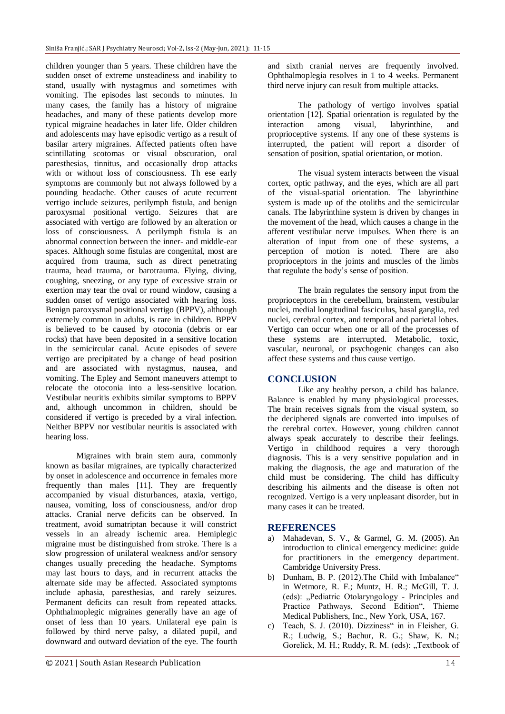children younger than 5 years. These children have the sudden onset of extreme unsteadiness and inability to stand, usually with nystagmus and sometimes with vomiting. The episodes last seconds to minutes. In many cases, the family has a history of migraine headaches, and many of these patients develop more typical migraine headaches in later life. Older children and adolescents may have episodic vertigo as a result of basilar artery migraines. Affected patients often have scintillating scotomas or visual obscuration, oral paresthesias, tinnitus, and occasionally drop attacks with or without loss of consciousness. Th ese early symptoms are commonly but not always followed by a pounding headache. Other causes of acute recurrent vertigo include seizures, perilymph fistula, and benign paroxysmal positional vertigo. Seizures that are associated with vertigo are followed by an alteration or loss of consciousness. A perilymph fistula is an abnormal connection between the inner- and middle-ear spaces. Although some fistulas are congenital, most are acquired from trauma, such as direct penetrating trauma, head trauma, or barotrauma. Flying, diving, coughing, sneezing, or any type of excessive strain or exertion may tear the oval or round window, causing a sudden onset of vertigo associated with hearing loss. Benign paroxysmal positional vertigo (BPPV), although extremely common in adults, is rare in children. BPPV is believed to be caused by otoconia (debris or ear rocks) that have been deposited in a sensitive location in the semicircular canal. Acute episodes of severe vertigo are precipitated by a change of head position and are associated with nystagmus, nausea, and vomiting. The Epley and Semont maneuvers attempt to relocate the otoconia into a less-sensitive location. Vestibular neuritis exhibits similar symptoms to BPPV and, although uncommon in children, should be considered if vertigo is preceded by a viral infection. Neither BPPV nor vestibular neuritis is associated with hearing loss.

Migraines with brain stem aura, commonly known as basilar migraines, are typically characterized by onset in adolescence and occurrence in females more frequently than males [11]. They are frequently accompanied by visual disturbances, ataxia, vertigo, nausea, vomiting, loss of consciousness, and/or drop attacks. Cranial nerve deficits can be observed. In treatment, avoid sumatriptan because it will constrict vessels in an already ischemic area. Hemiplegic migraine must be distinguished from stroke. There is a slow progression of unilateral weakness and/or sensory changes usually preceding the headache. Symptoms may last hours to days, and in recurrent attacks the alternate side may be affected. Associated symptoms include aphasia, paresthesias, and rarely seizures. Permanent deficits can result from repeated attacks. Ophthalmoplegic migraines generally have an age of onset of less than 10 years. Unilateral eye pain is followed by third nerve palsy, a dilated pupil, and downward and outward deviation of the eye. The fourth

and sixth cranial nerves are frequently involved. Ophthalmoplegia resolves in 1 to 4 weeks. Permanent third nerve injury can result from multiple attacks.

The pathology of vertigo involves spatial orientation [12]. Spatial orientation is regulated by the interaction among visual, labyrinthine, and proprioceptive systems. If any one of these systems is interrupted, the patient will report a disorder of sensation of position, spatial orientation, or motion.

The visual system interacts between the visual cortex, optic pathway, and the eyes, which are all part of the visual-spatial orientation. The labyrinthine system is made up of the otoliths and the semicircular canals. The labyrinthine system is driven by changes in the movement of the head, which causes a change in the afferent vestibular nerve impulses. When there is an alteration of input from one of these systems, a perception of motion is noted. There are also proprioceptors in the joints and muscles of the limbs that regulate the body's sense of position.

The brain regulates the sensory input from the proprioceptors in the cerebellum, brainstem, vestibular nuclei, medial longitudinal fasciculus, basal ganglia, red nuclei, cerebral cortex, and temporal and parietal lobes. Vertigo can occur when one or all of the processes of these systems are interrupted. Metabolic, toxic, vascular, neuronal, or psychogenic changes can also affect these systems and thus cause vertigo.

## **CONCLUSION**

Like any healthy person, a child has balance. Balance is enabled by many physiological processes. The brain receives signals from the visual system, so the deciphered signals are converted into impulses of the cerebral cortex. However, young children cannot always speak accurately to describe their feelings. Vertigo in childhood requires a very thorough diagnosis. This is a very sensitive population and in making the diagnosis, the age and maturation of the child must be considering. The child has difficulty describing his ailments and the disease is often not recognized. Vertigo is a very unpleasant disorder, but in many cases it can be treated.

### **REFERENCES**

- a) Mahadevan, S. V., & Garmel, G. M. (2005). An introduction to clinical emergency medicine: guide for practitioners in the emergency department. Cambridge University Press.
- b) Dunham, B. P. (2012).The Child with Imbalance" in Wetmore, R. F.; Muntz, H. R.; McGill, T. J. (eds): "Pediatric Otolaryngology - Principles and Practice Pathways, Second Edition", Thieme Medical Publishers, Inc., New York, USA, 167.
- c) Teach, S. J. (2010). Dizziness" in in Fleisher, G. R.; Ludwig, S.; Bachur, R. G.; Shaw, K. N.; Gorelick, M. H.; Ruddy, R. M. (eds): "Textbook of